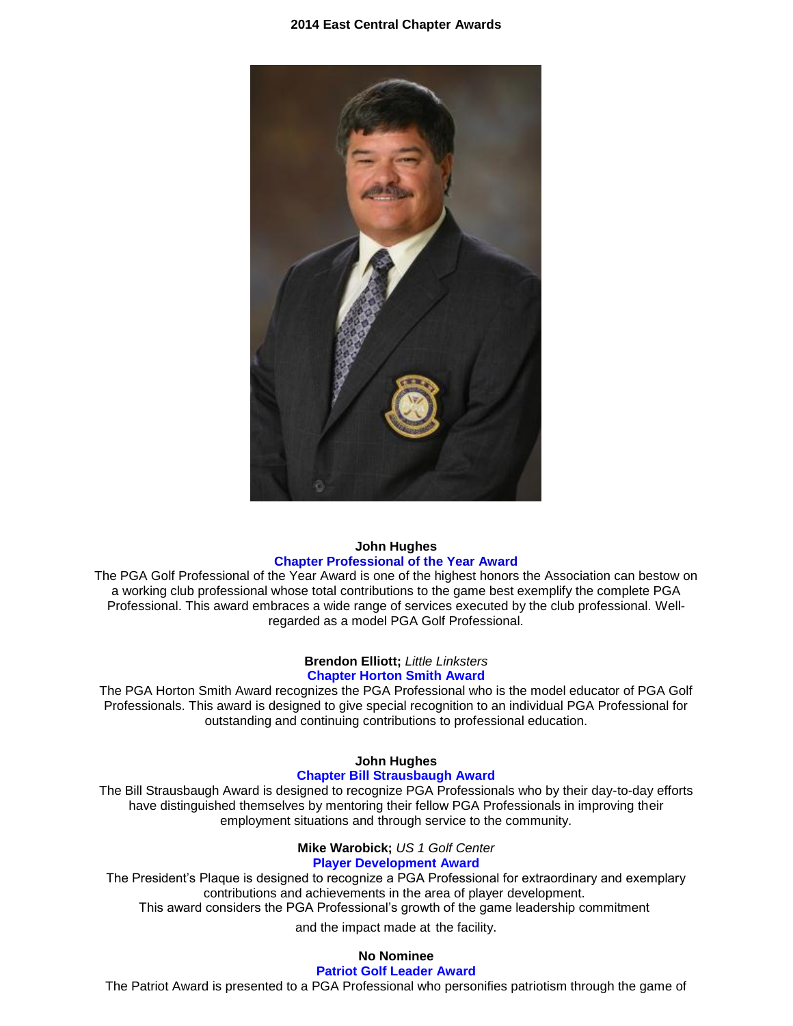#### **2014 East Central Chapter Awards**



#### **John Hughes Chapter Professional of the Year Award**

The PGA Golf Professional of the Year Award is one of the highest honors the Association can bestow on a working club professional whose total contributions to the game best exemplify the complete PGA Professional. This award embraces a wide range of services executed by the club professional. Wellregarded as a model PGA Golf Professional.

#### **Brendon Elliott;** *Little Linksters* **Chapter Horton Smith Award**

The PGA Horton Smith Award recognizes the PGA Professional who is the model educator of PGA Golf Professionals. This award is designed to give special recognition to an individual PGA Professional for outstanding and continuing contributions to professional education.

#### **John Hughes Chapter Bill Strausbaugh Award**

The Bill Strausbaugh Award is designed to recognize PGA Professionals who by their day-to-day efforts have distinguished themselves by mentoring their fellow PGA Professionals in improving their employment situations and through service to the community.

### **Mike Warobick;** *US 1 Golf Center*

## **Player Development Award**

The President's Plaque is designed to recognize a PGA Professional for extraordinary and exemplary contributions and achievements in the area of player development. This award considers the PGA Professional's growth of the game leadership commitment

and the impact made at the facility.

# **No Nominee**

# **Patriot Golf Leader Award**

The Patriot Award is presented to a PGA Professional who personifies patriotism through the game of